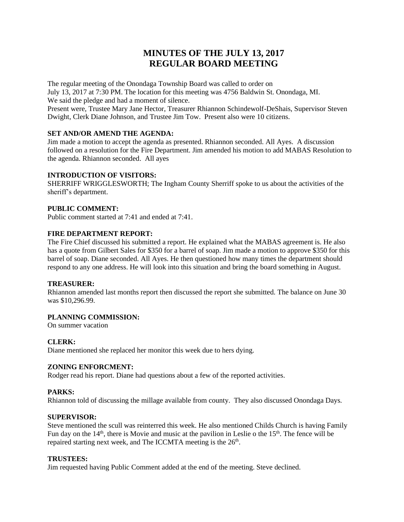# **MINUTES OF THE JULY 13, 2017 REGULAR BOARD MEETING**

The regular meeting of the Onondaga Township Board was called to order on July 13, 2017 at 7:30 PM. The location for this meeting was 4756 Baldwin St. Onondaga, MI. We said the pledge and had a moment of silence.

Present were, Trustee Mary Jane Hector, Treasurer Rhiannon Schindewolf-DeShais, Supervisor Steven Dwight, Clerk Diane Johnson, and Trustee Jim Tow. Present also were 10 citizens.

# **SET AND/OR AMEND THE AGENDA:**

Jim made a motion to accept the agenda as presented. Rhiannon seconded. All Ayes. A discussion followed on a resolution for the Fire Department. Jim amended his motion to add MABAS Resolution to the agenda. Rhiannon seconded. All ayes

# **INTRODUCTION OF VISITORS:**

SHERRIFF WRIGGLESWORTH; The Ingham County Sherriff spoke to us about the activities of the sheriff's department.

#### **PUBLIC COMMENT:**

Public comment started at 7:41 and ended at 7:41.

# **FIRE DEPARTMENT REPORT:**

The Fire Chief discussed his submitted a report. He explained what the MABAS agreement is. He also has a quote from Gilbert Sales for \$350 for a barrel of soap. Jim made a motion to approve \$350 for this barrel of soap. Diane seconded. All Ayes. He then questioned how many times the department should respond to any one address. He will look into this situation and bring the board something in August.

# **TREASURER:**

Rhiannon amended last months report then discussed the report she submitted. The balance on June 30 was \$10,296.99.

# **PLANNING COMMISSION:**

On summer vacation

# **CLERK:**

Diane mentioned she replaced her monitor this week due to hers dying.

# **ZONING ENFORCMENT:**

Rodger read his report. Diane had questions about a few of the reported activities.

# **PARKS:**

Rhiannon told of discussing the millage available from county. They also discussed Onondaga Days*.*

# **SUPERVISOR:**

Steve mentioned the scull was reinterred this week. He also mentioned Childs Church is having Family Fun day on the  $14<sup>th</sup>$ , there is Movie and music at the pavilion in Leslie o the  $15<sup>th</sup>$ . The fence will be repaired starting next week, and The ICCMTA meeting is the 26<sup>th</sup>.

#### **TRUSTEES:**

Jim requested having Public Comment added at the end of the meeting. Steve declined.